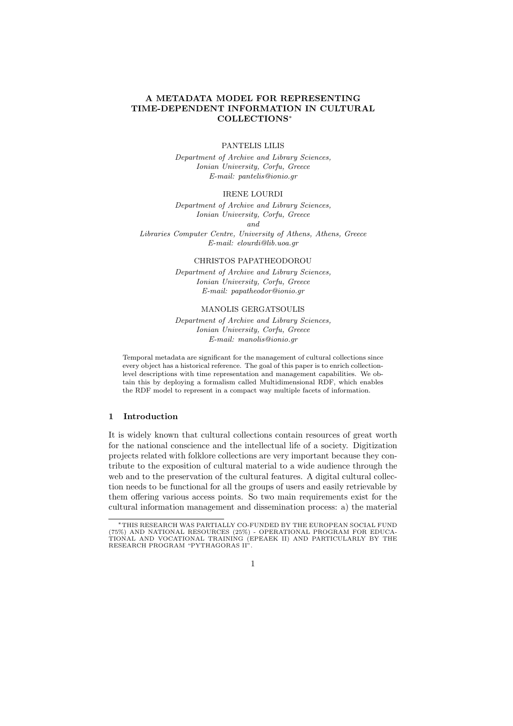# A METADATA MODEL FOR REPRESENTING TIME-DEPENDENT INFORMATION IN CULTURAL COLLECTIONS<sup>∗</sup>

# PANTELIS LILIS

Department of Archive and Library Sciences, Ionian University, Corfu, Greece E-mail: pantelis@ionio.gr

# IRENE LOURDI

Department of Archive and Library Sciences, Ionian University, Corfu, Greece and Libraries Computer Centre, University of Athens, Athens, Greece E-mail: elourdi@lib.uoa.gr

#### CHRISTOS PAPATHEODOROU

Department of Archive and Library Sciences, Ionian University, Corfu, Greece E-mail: papatheodor@ionio.gr

## MANOLIS GERGATSOULIS

Department of Archive and Library Sciences, Ionian University, Corfu, Greece E-mail: manolis@ionio.gr

Temporal metadata are significant for the management of cultural collections since every object has a historical reference. The goal of this paper is to enrich collectionlevel descriptions with time representation and management capabilities. We obtain this by deploying a formalism called Multidimensional RDF, which enables the RDF model to represent in a compact way multiple facets of information.

# 1 Introduction

It is widely known that cultural collections contain resources of great worth for the national conscience and the intellectual life of a society. Digitization projects related with folklore collections are very important because they contribute to the exposition of cultural material to a wide audience through the web and to the preservation of the cultural features. A digital cultural collection needs to be functional for all the groups of users and easily retrievable by them offering various access points. So two main requirements exist for the cultural information management and dissemination process: a) the material

<sup>∗</sup>THIS RESEARCH WAS PARTIALLY CO-FUNDED BY THE EUROPEAN SOCIAL FUND (75%) AND NATIONAL RESOURCES (25%) - OPERATIONAL PROGRAM FOR EDUCA-TIONAL AND VOCATIONAL TRAINING (EPEAEK II) AND PARTICULARLY BY THE RESEARCH PROGRAM "PYTHAGORAS II".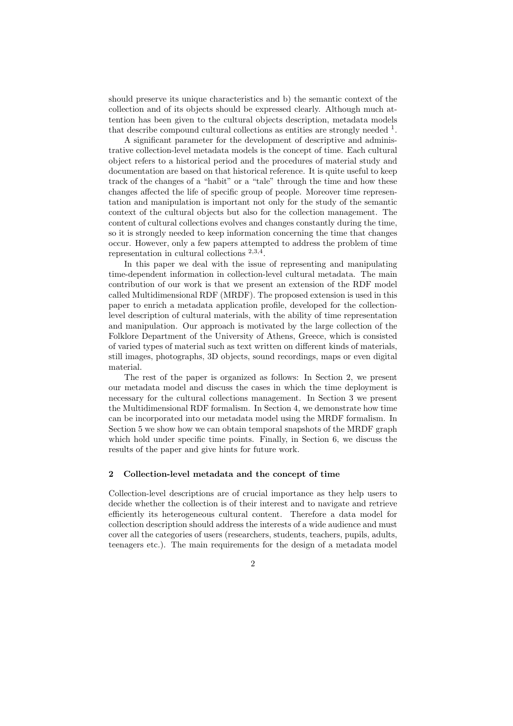should preserve its unique characteristics and b) the semantic context of the collection and of its objects should be expressed clearly. Although much attention has been given to the cultural objects description, metadata models that describe compound cultural collections as entities are strongly needed  $<sup>1</sup>$ .</sup>

A significant parameter for the development of descriptive and administrative collection-level metadata models is the concept of time. Each cultural object refers to a historical period and the procedures of material study and documentation are based on that historical reference. It is quite useful to keep track of the changes of a "habit" or a "tale" through the time and how these changes affected the life of specific group of people. Moreover time representation and manipulation is important not only for the study of the semantic context of the cultural objects but also for the collection management. The content of cultural collections evolves and changes constantly during the time, so it is strongly needed to keep information concerning the time that changes occur. However, only a few papers attempted to address the problem of time representation in cultural collections <sup>2</sup>,3,<sup>4</sup> .

In this paper we deal with the issue of representing and manipulating time-dependent information in collection-level cultural metadata. The main contribution of our work is that we present an extension of the RDF model called Multidimensional RDF (MRDF). The proposed extension is used in this paper to enrich a metadata application profile, developed for the collectionlevel description of cultural materials, with the ability of time representation and manipulation. Our approach is motivated by the large collection of the Folklore Department of the University of Athens, Greece, which is consisted of varied types of material such as text written on different kinds of materials, still images, photographs, 3D objects, sound recordings, maps or even digital material.

The rest of the paper is organized as follows: In Section 2, we present our metadata model and discuss the cases in which the time deployment is necessary for the cultural collections management. In Section 3 we present the Multidimensional RDF formalism. In Section 4, we demonstrate how time can be incorporated into our metadata model using the MRDF formalism. In Section 5 we show how we can obtain temporal snapshots of the MRDF graph which hold under specific time points. Finally, in Section 6, we discuss the results of the paper and give hints for future work.

# 2 Collection-level metadata and the concept of time

Collection-level descriptions are of crucial importance as they help users to decide whether the collection is of their interest and to navigate and retrieve efficiently its heterogeneous cultural content. Therefore a data model for collection description should address the interests of a wide audience and must cover all the categories of users (researchers, students, teachers, pupils, adults, teenagers etc.). The main requirements for the design of a metadata model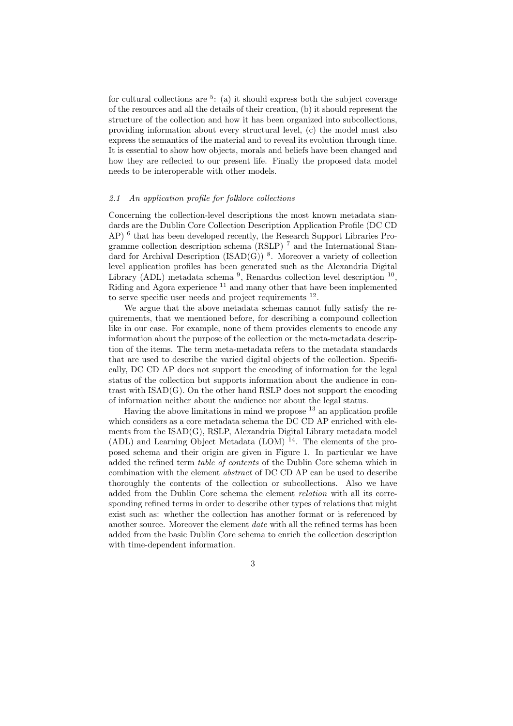for cultural collections are <sup>5</sup>: (a) it should express both the subject coverage of the resources and all the details of their creation, (b) it should represent the structure of the collection and how it has been organized into subcollections, providing information about every structural level, (c) the model must also express the semantics of the material and to reveal its evolution through time. It is essential to show how objects, morals and beliefs have been changed and how they are reflected to our present life. Finally the proposed data model needs to be interoperable with other models.

### 2.1 An application profile for folklore collections

Concerning the collection-level descriptions the most known metadata standards are the Dublin Core Collection Description Application Profile (DC CD AP)<sup>6</sup> that has been developed recently, the Research Support Libraries Programme collection description schema (RSLP) <sup>7</sup> and the International Standard for Archival Description (ISAD(G))<sup>8</sup>. Moreover a variety of collection level application profiles has been generated such as the Alexandria Digital Library (ADL) metadata schema<sup>9</sup>, Renardus collection level description  $10$ , Riding and Agora experience <sup>11</sup> and many other that have been implemented to serve specific user needs and project requirements  $^{12}$ .

We argue that the above metadata schemas cannot fully satisfy the requirements, that we mentioned before, for describing a compound collection like in our case. For example, none of them provides elements to encode any information about the purpose of the collection or the meta-metadata description of the items. The term meta-metadata refers to the metadata standards that are used to describe the varied digital objects of the collection. Specifically, DC CD AP does not support the encoding of information for the legal status of the collection but supports information about the audience in contrast with ISAD(G). On the other hand RSLP does not support the encoding of information neither about the audience nor about the legal status.

Having the above limitations in mind we propose  $^{13}$  an application profile which considers as a core metadata schema the DC CD AP enriched with elements from the ISAD(G), RSLP, Alexandria Digital Library metadata model (ADL) and Learning Object Metadata (LOM)  $14$ . The elements of the proposed schema and their origin are given in Figure 1. In particular we have added the refined term table of contents of the Dublin Core schema which in combination with the element abstract of DC CD AP can be used to describe thoroughly the contents of the collection or subcollections. Also we have added from the Dublin Core schema the element relation with all its corresponding refined terms in order to describe other types of relations that might exist such as: whether the collection has another format or is referenced by another source. Moreover the element *date* with all the refined terms has been added from the basic Dublin Core schema to enrich the collection description with time-dependent information.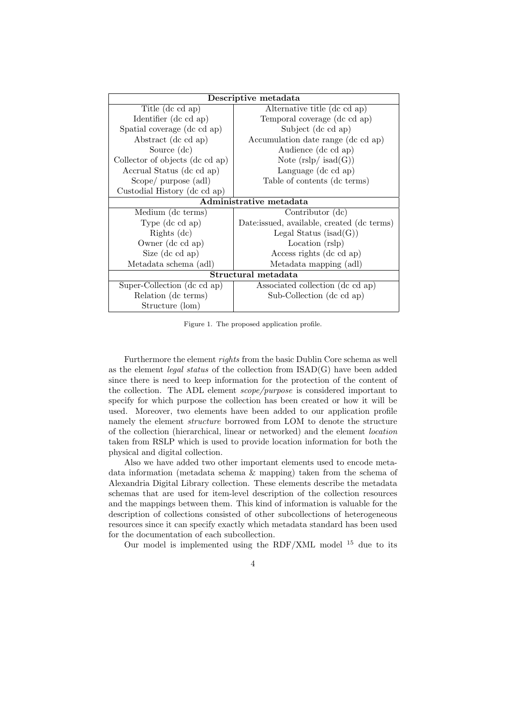| Descriptive metadata            |                                             |
|---------------------------------|---------------------------------------------|
| Title (dc cd ap)                | Alternative title (dc cd ap)                |
| Identifier (dc cd ap)           | Temporal coverage (dc cd ap)                |
| Spatial coverage (dc cd ap)     | Subject (dc cd ap)                          |
| Abstract (dc cd ap)             | Accumulation date range (dc cd ap)          |
| Source (dc)                     | Audience (dc cd ap)                         |
| Collector of objects (dc cd ap) | Note $(rslp/$ isad $(G))$                   |
| Accrual Status (dc cd ap)       | Language (dc cd ap)                         |
| Scope/ purpose (adl)            | Table of contents (dc terms)                |
| Custodial History (dc cd ap)    |                                             |
| Administrative metadata         |                                             |
| Medium (dc terms)               | Contributor (dc)                            |
| Type $(dc \, cd \, ap)$         | Date: issued, available, created (dc terms) |
| Rights $(dc)$                   | Legal Status (isad $(G)$ )                  |
| Owner (dc cd ap)                | Location (rslp)                             |
| Size (dc cd ap)                 | Access rights (dc cd ap)                    |
| Metadata schema (adl)           | Metadata mapping (adl)                      |
| Structural metadata             |                                             |
| Super-Collection (dc cd ap)     | Associated collection (dc cd ap)            |
| Relation (dc terms)             | Sub-Collection (dc cd ap)                   |
| Structure (lom)                 |                                             |

Figure 1. The proposed application profile.

Furthermore the element rights from the basic Dublin Core schema as well as the element *legal status* of the collection from  $ISAD(G)$  have been added since there is need to keep information for the protection of the content of the collection. The ADL element scope/purpose is considered important to specify for which purpose the collection has been created or how it will be used. Moreover, two elements have been added to our application profile namely the element structure borrowed from LOM to denote the structure of the collection (hierarchical, linear or networked) and the element location taken from RSLP which is used to provide location information for both the physical and digital collection.

Also we have added two other important elements used to encode metadata information (metadata schema & mapping) taken from the schema of Alexandria Digital Library collection. These elements describe the metadata schemas that are used for item-level description of the collection resources and the mappings between them. This kind of information is valuable for the description of collections consisted of other subcollections of heterogeneous resources since it can specify exactly which metadata standard has been used for the documentation of each subcollection.

Our model is implemented using the RDF/XML model <sup>15</sup> due to its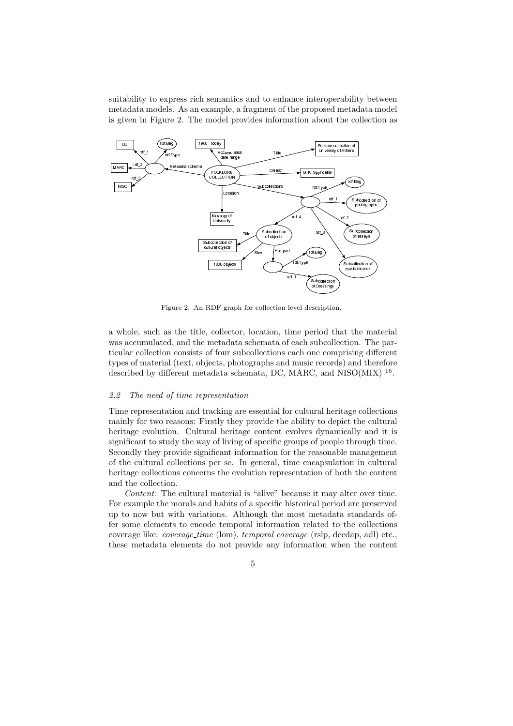suitability to express rich semantics and to enhance interoperability between metadata models. As an example, a fragment of the proposed metadata model is given in Figure 2. The model provides information about the collection as



Figure 2. An RDF graph for collection level description.

a whole, such as the title, collector, location, time period that the material was accumulated, and the metadata schemata of each subcollection. The particular collection consists of four subcollections each one comprising different types of material (text, objects, photographs and music records) and therefore described by different metadata schemata, DC, MARC, and NISO(MIX) <sup>16</sup>.

#### 2.2 The need of time representation

Time representation and tracking are essential for cultural heritage collections mainly for two reasons: Firstly they provide the ability to depict the cultural heritage evolution. Cultural heritage content evolves dynamically and it is significant to study the way of living of specific groups of people through time. Secondly they provide significant information for the reasonable management of the cultural collections per se. In general, time encapsulation in cultural heritage collections concerns the evolution representation of both the content and the collection.

Content: The cultural material is "alive" because it may alter over time. For example the morals and habits of a specific historical period are preserved up to now but with variations. Although the most metadata standards offer some elements to encode temporal information related to the collections coverage like: *coverage\_time* (lom), *temporal coverage* (rslp, dccdap, adl) etc., these metadata elements do not provide any information when the content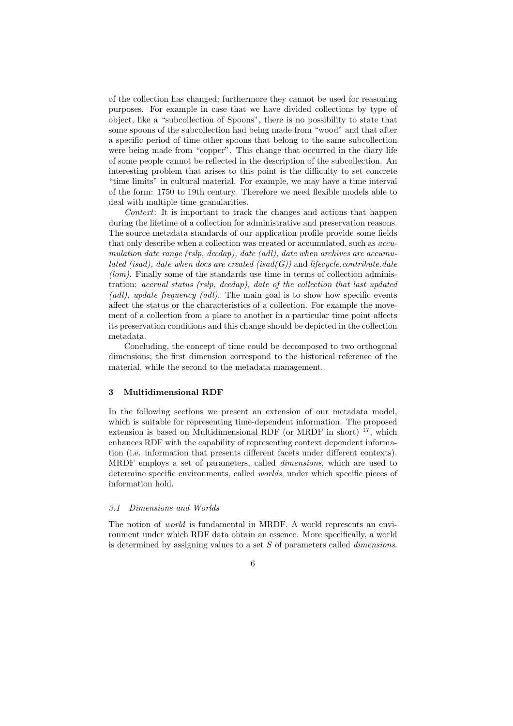of the collection has changed; furthermore they cannot be used for reasoning purposes. For example in case that we have divided collections by type of object, like a "subcollection of Spoons", there is no possibility to state that some spoons of the subcollection had being made from "wood" and that after a specific period of time other spoons that belong to the same subcollection were being made from "copper". This change that occurred in the diary life of some people cannot be reflected in the description of the subcollection. An interesting problem that arises to this point is the difficulty to set concrete "time limits" in cultural material. For example, we may have a time interval of the form: 1750 to 19th century. Therefore we need flexible models able to deal with multiple time granularities.

Context: It is important to track the changes and actions that happen during the lifetime of a collection for administrative and preservation reasons. The source metadata standards of our application profile provide some fields that only describe when a collection was created or accumulated, such as accumulation date range (rslp, dccdap), date (adl), date when archives are accumulated (isad), date when docs are created (isad( $G$ )) and lifecycle.contribute.date  $(lom)$ . Finally some of the standards use time in terms of collection administration: accrual status (rslp, dccdap), date of the collection that last updated (adl), update frequency (adl). The main goal is to show how specific events affect the status or the characteristics of a collection. For example the movement of a collection from a place to another in a particular time point affects its preservation conditions and this change should be depicted in the collection metadata.

Concluding, the concept of time could be decomposed to two orthogonal dimensions; the first dimension correspond to the historical reference of the material, while the second to the metadata management.

# 3 Multidimensional RDF

In the following sections we present an extension of our metadata model, which is suitable for representing time-dependent information. The proposed extension is based on Multidimensional RDF (or MRDF in short)  $17$ , which enhances RDF with the capability of representing context dependent information (i.e. information that presents different facets under different contexts). MRDF employs a set of parameters, called dimensions, which are used to determine specific environments, called worlds, under which specific pieces of information hold.

### 3.1 Dimensions and Worlds

The notion of world is fundamental in MRDF. A world represents an environment under which RDF data obtain an essence. More specifically, a world is determined by assigning values to a set S of parameters called dimensions.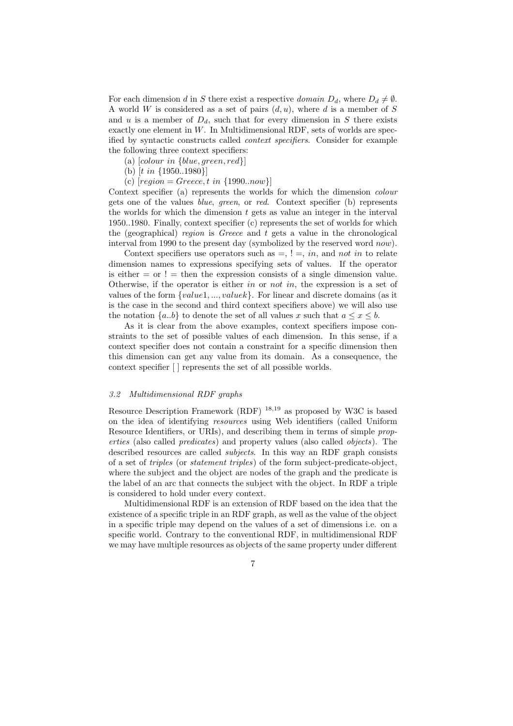For each dimension d in S there exist a respective domain  $D_d$ , where  $D_d \neq \emptyset$ . A world W is considered as a set of pairs  $(d, u)$ , where d is a member of S and u is a member of  $D_d$ , such that for every dimension in S there exists exactly one element in  $W$ . In Multidimensional RDF, sets of worlds are specified by syntactic constructs called context specifiers. Consider for example the following three context specifiers:

- (a)  $[colour\ in\ \{blue, green, red\}]$
- (b)  $[t in \{1950..1980\}]$
- (c)  $[region = Greece, t in \{1990..now\}]$

Context specifier (a) represents the worlds for which the dimension colour gets one of the values blue, green, or red. Context specifier (b) represents the worlds for which the dimension  $t$  gets as value an integer in the interval 1950..1980. Finally, context specifier (c) represents the set of worlds for which the (geographical) region is Greece and  $t$  gets a value in the chronological interval from 1990 to the present day (symbolized by the reserved word now).

Context specifiers use operators such as  $=$ ,  $!=$ , in, and not in to relate dimension names to expressions specifying sets of values. If the operator is either  $=$  or  $!=$  then the expression consists of a single dimension value. Otherwise, if the operator is either in or not in, the expression is a set of values of the form {value1, ..., valuek}. For linear and discrete domains (as it is the case in the second and third context specifiers above) we will also use the notation  $\{a,b\}$  to denote the set of all values x such that  $a \leq x \leq b$ .

As it is clear from the above examples, context specifiers impose constraints to the set of possible values of each dimension. In this sense, if a context specifier does not contain a constraint for a specific dimension then this dimension can get any value from its domain. As a consequence, the context specifier [ ] represents the set of all possible worlds.

### 3.2 Multidimensional RDF graphs

Resource Description Framework (RDF) <sup>18</sup>,<sup>19</sup> as proposed by W3C is based on the idea of identifying resources using Web identifiers (called Uniform Resource Identifiers, or URIs), and describing them in terms of simple properties (also called predicates) and property values (also called objects). The described resources are called *subjects*. In this way an RDF graph consists of a set of triples (or statement triples) of the form subject-predicate-object, where the subject and the object are nodes of the graph and the predicate is the label of an arc that connects the subject with the object. In RDF a triple is considered to hold under every context.

Multidimensional RDF is an extension of RDF based on the idea that the existence of a specific triple in an RDF graph, as well as the value of the object in a specific triple may depend on the values of a set of dimensions i.e. on a specific world. Contrary to the conventional RDF, in multidimensional RDF we may have multiple resources as objects of the same property under different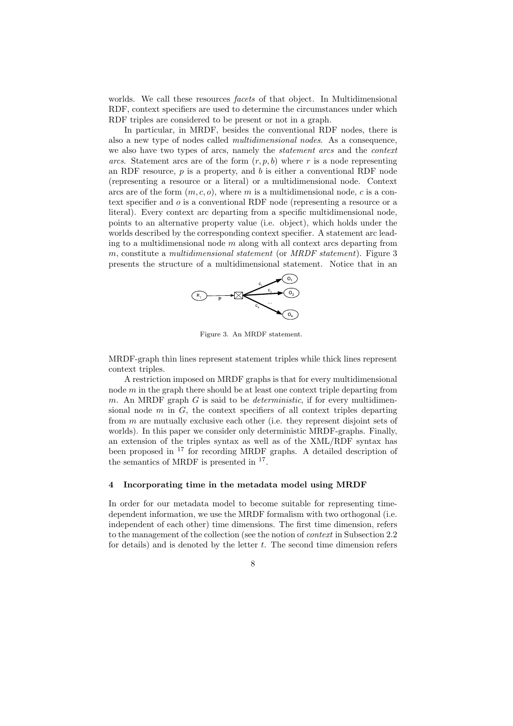worlds. We call these resources *facets* of that object. In Multidimensional RDF, context specifiers are used to determine the circumstances under which RDF triples are considered to be present or not in a graph.

In particular, in MRDF, besides the conventional RDF nodes, there is also a new type of nodes called multidimensional nodes. As a consequence, we also have two types of arcs, namely the statement arcs and the context arcs. Statement arcs are of the form  $(r, p, b)$  where r is a node representing an RDF resource,  $p$  is a property, and  $b$  is either a conventional RDF node (representing a resource or a literal) or a multidimensional node. Context arcs are of the form  $(m, c, o)$ , where m is a multidimensional node, c is a context specifier and o is a conventional RDF node (representing a resource or a literal). Every context arc departing from a specific multidimensional node, points to an alternative property value (i.e. object), which holds under the worlds described by the corresponding context specifier. A statement arc leading to a multidimensional node  $m$  along with all context arcs departing from m, constitute a multidimensional statement (or MRDF statement). Figure  $3$ presents the structure of a multidimensional statement. Notice that in an



Figure 3. An MRDF statement.

MRDF-graph thin lines represent statement triples while thick lines represent context triples.

A restriction imposed on MRDF graphs is that for every multidimensional node  $m$  in the graph there should be at least one context triple departing from m. An MRDF graph  $G$  is said to be *deterministic*, if for every multidimensional node  $m$  in  $G$ , the context specifiers of all context triples departing from m are mutually exclusive each other (i.e. they represent disjoint sets of worlds). In this paper we consider only deterministic MRDF-graphs. Finally, an extension of the triples syntax as well as of the XML/RDF syntax has been proposed in <sup>17</sup> for recording MRDF graphs. A detailed description of the semantics of MRDF is presented in  $17$ .

# 4 Incorporating time in the metadata model using MRDF

In order for our metadata model to become suitable for representing timedependent information, we use the MRDF formalism with two orthogonal (i.e. independent of each other) time dimensions. The first time dimension, refers to the management of the collection (see the notion of context in Subsection 2.2 for details) and is denoted by the letter  $t$ . The second time dimension refers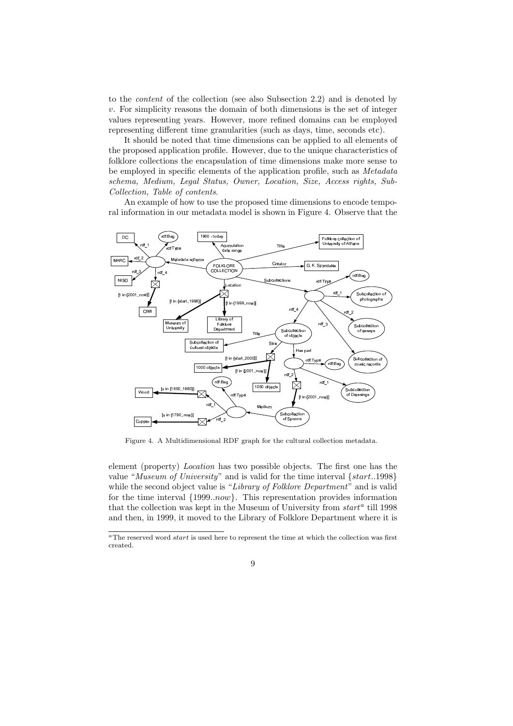to the content of the collection (see also Subsection 2.2) and is denoted by  $v$ . For simplicity reasons the domain of both dimensions is the set of integer values representing years. However, more refined domains can be employed representing different time granularities (such as days, time, seconds etc).

It should be noted that time dimensions can be applied to all elements of the proposed application profile. However, due to the unique characteristics of folklore collections the encapsulation of time dimensions make more sense to be employed in specific elements of the application profile, such as Metadata schema, Medium, Legal Status, Owner, Location, Size, Access rights, Sub-Collection, Table of contents.

An example of how to use the proposed time dimensions to encode temporal information in our metadata model is shown in Figure 4. Observe that the



Figure 4. A Multidimensional RDF graph for the cultural collection metadata.

element (property) Location has two possible objects. The first one has the value "Museum of University" and is valid for the time interval {start..1998} while the second object value is "Library of Folklore Department" and is valid for the time interval {1999..now}. This representation provides information that the collection was kept in the Museum of University from  $start^a$  till 1998 and then, in 1999, it moved to the Library of Folklore Department where it is

<sup>&</sup>lt;sup>a</sup>The reserved word *start* is used here to represent the time at which the collection was first created.

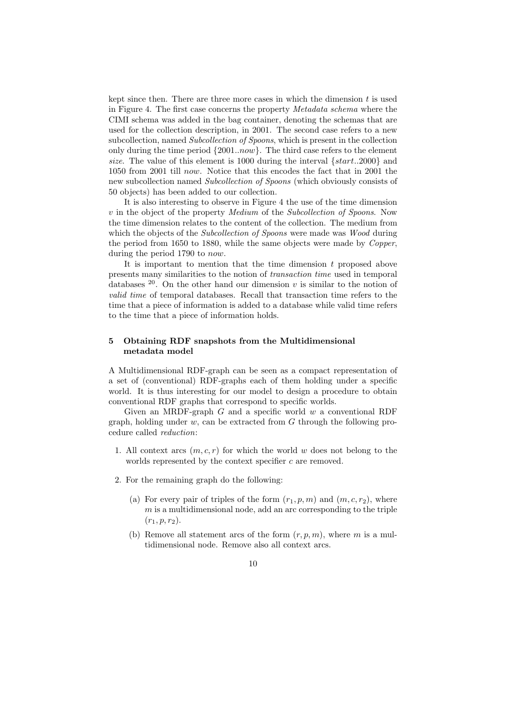kept since then. There are three more cases in which the dimension  $t$  is used in Figure 4. The first case concerns the property Metadata schema where the CIMI schema was added in the bag container, denoting the schemas that are used for the collection description, in 2001. The second case refers to a new subcollection, named Subcollection of Spoons, which is present in the collection only during the time period {2001..now}. The third case refers to the element size. The value of this element is 1000 during the interval  $\{start..2000\}$  and 1050 from 2001 till now. Notice that this encodes the fact that in 2001 the new subcollection named Subcollection of Spoons (which obviously consists of 50 objects) has been added to our collection.

It is also interesting to observe in Figure 4 the use of the time dimension v in the object of the property Medium of the Subcollection of Spoons. Now the time dimension relates to the content of the collection. The medium from which the objects of the Subcollection of Spoons were made was Wood during the period from 1650 to 1880, while the same objects were made by Copper, during the period 1790 to now.

It is important to mention that the time dimension  $t$  proposed above presents many similarities to the notion of transaction time used in temporal databases  $20$ . On the other hand our dimension v is similar to the notion of valid time of temporal databases. Recall that transaction time refers to the time that a piece of information is added to a database while valid time refers to the time that a piece of information holds.

# 5 Obtaining RDF snapshots from the Multidimensional metadata model

A Multidimensional RDF-graph can be seen as a compact representation of a set of (conventional) RDF-graphs each of them holding under a specific world. It is thus interesting for our model to design a procedure to obtain conventional RDF graphs that correspond to specific worlds.

Given an MRDF-graph  $G$  and a specific world  $w$  a conventional RDF graph, holding under  $w$ , can be extracted from  $G$  through the following procedure called reduction:

- 1. All context arcs  $(m, c, r)$  for which the world w does not belong to the worlds represented by the context specifier  $c$  are removed.
- 2. For the remaining graph do the following:
	- (a) For every pair of triples of the form  $(r_1, p, m)$  and  $(m, c, r_2)$ , where  $m$  is a multidimensional node, add an arc corresponding to the triple  $(r_1, p, r_2).$
	- (b) Remove all statement arcs of the form  $(r, p, m)$ , where m is a multidimensional node. Remove also all context arcs.
		- 10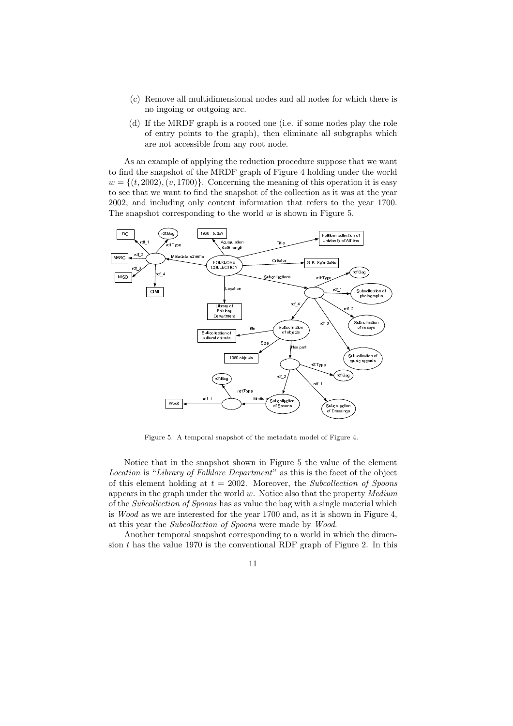- (c) Remove all multidimensional nodes and all nodes for which there is no ingoing or outgoing arc.
- (d) If the MRDF graph is a rooted one (i.e. if some nodes play the role of entry points to the graph), then eliminate all subgraphs which are not accessible from any root node.

As an example of applying the reduction procedure suppose that we want to find the snapshot of the MRDF graph of Figure 4 holding under the world  $w = \{(t, 2002), (v, 1700)\}.$  Concerning the meaning of this operation it is easy to see that we want to find the snapshot of the collection as it was at the year 2002, and including only content information that refers to the year 1700. The snapshot corresponding to the world  $w$  is shown in Figure 5.



Figure 5. A temporal snapshot of the metadata model of Figure 4.

Notice that in the snapshot shown in Figure 5 the value of the element Location is "Library of Folklore Department" as this is the facet of the object of this element holding at  $t = 2002$ . Moreover, the Subcollection of Spoons appears in the graph under the world  $w$ . Notice also that the property  $Median$ of the Subcollection of Spoons has as value the bag with a single material which is Wood as we are interested for the year 1700 and, as it is shown in Figure 4, at this year the Subcollection of Spoons were made by Wood.

Another temporal snapshot corresponding to a world in which the dimension  $t$  has the value 1970 is the conventional RDF graph of Figure 2. In this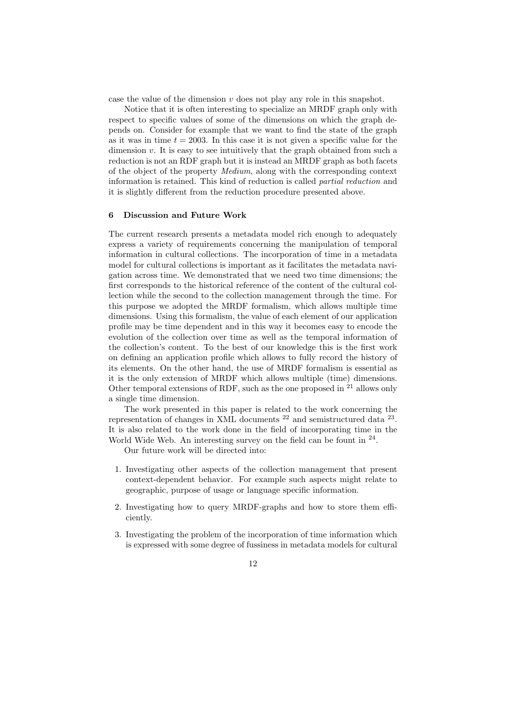case the value of the dimension v does not play any role in this snapshot.

Notice that it is often interesting to specialize an MRDF graph only with respect to specific values of some of the dimensions on which the graph depends on. Consider for example that we want to find the state of the graph as it was in time  $t = 2003$ . In this case it is not given a specific value for the dimension  $v$ . It is easy to see intuitively that the graph obtained from such a reduction is not an RDF graph but it is instead an MRDF graph as both facets of the object of the property Medium, along with the corresponding context information is retained. This kind of reduction is called partial reduction and it is slightly different from the reduction procedure presented above.

## 6 Discussion and Future Work

The current research presents a metadata model rich enough to adequately express a variety of requirements concerning the manipulation of temporal information in cultural collections. The incorporation of time in a metadata model for cultural collections is important as it facilitates the metadata navigation across time. We demonstrated that we need two time dimensions; the first corresponds to the historical reference of the content of the cultural collection while the second to the collection management through the time. For this purpose we adopted the MRDF formalism, which allows multiple time dimensions. Using this formalism, the value of each element of our application profile may be time dependent and in this way it becomes easy to encode the evolution of the collection over time as well as the temporal information of the collection's content. To the best of our knowledge this is the first work on defining an application profile which allows to fully record the history of its elements. On the other hand, the use of MRDF formalism is essential as it is the only extension of MRDF which allows multiple (time) dimensions. Other temporal extensions of RDF, such as the one proposed in <sup>21</sup> allows only a single time dimension.

The work presented in this paper is related to the work concerning the representation of changes in XML documents  $^{22}$  and semistructured data  $^{23}$ . It is also related to the work done in the field of incorporating time in the World Wide Web. An interesting survey on the field can be fount in  $24$ .

Our future work will be directed into:

- 1. Investigating other aspects of the collection management that present context-dependent behavior. For example such aspects might relate to geographic, purpose of usage or language specific information.
- 2. Investigating how to query MRDF-graphs and how to store them efficiently.
- 3. Investigating the problem of the incorporation of time information which is expressed with some degree of fussiness in metadata models for cultural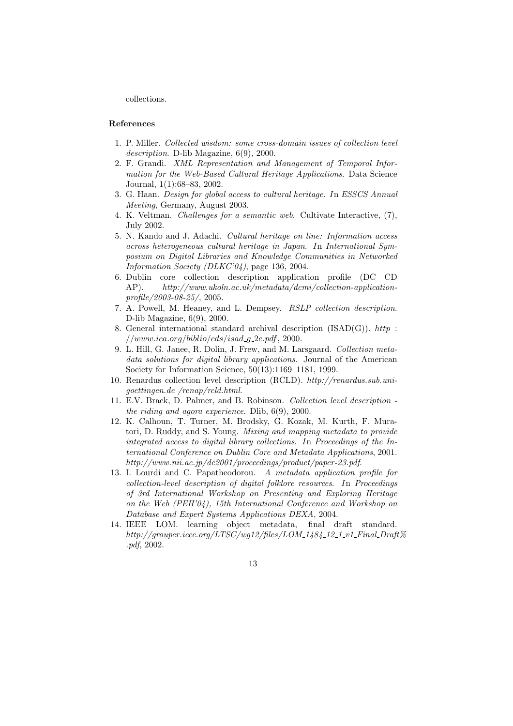collections.

### References

- 1. P. Miller. Collected wisdom: some cross-domain issues of collection level description. D-lib Magazine, 6(9), 2000.
- 2. F. Grandi. XML Representation and Management of Temporal Information for the Web-Based Cultural Heritage Applications. Data Science Journal, 1(1):68–83, 2002.
- 3. G. Haan. Design for global access to cultural heritage. In ESSCS Annual Meeting, Germany, August 2003.
- 4. K. Veltman. Challenges for a semantic web. Cultivate Interactive, (7), July 2002.
- 5. N. Kando and J. Adachi. Cultural heritage on line: Information access across heterogeneous cultural heritage in Japan. In International Symposium on Digital Libraries and Knowledge Communities in Networked Information Society (DLKC'04), page 136, 2004.
- 6. Dublin core collection description application profile (DC CD AP). http://www.ukoln.ac.uk/metadata/dcmi/collection-applicationprofile/2003-08-25/, 2005.
- 7. A. Powell, M. Heaney, and L. Dempsey. RSLP collection description. D-lib Magazine, 6(9), 2000.
- 8. General international standard archival description  $(ISAD(G))$ . http:  $//www.ica.org/bibliocds/isad_g_2e.pdf, 2000.$
- 9. L. Hill, G. Janee, R. Dolin, J. Frew, and M. Larsgaard. Collection metadata solutions for digital library applications. Journal of the American Society for Information Science, 50(13):1169–1181, 1999.
- 10. Renardus collection level description (RCLD). http://renardus.sub.unigoettingen.de /renap/rcld.html.
- 11. E.V. Brack, D. Palmer, and B. Robinson. Collection level description the riding and agora experience. Dlib, 6(9), 2000.
- 12. K. Calhoun, T. Turner, M. Brodsky, G. Kozak, M. Kurth, F. Muratori, D. Ruddy, and S. Young. Mixing and mapping metadata to provide integrated access to digital library collections. In Proceedings of the International Conference on Dublin Core and Metadata Applications, 2001. http://www.nii.ac.jp/dc2001/proceedings/product/paper-23.pdf.
- 13. I. Lourdi and C. Papatheodorou. A metadata application profile for collection-level description of digital folklore resources. In Proceedings of 3rd International Workshop on Presenting and Exploring Heritage on the Web (PEH'04), 15th International Conference and Workshop on Database and Expert Systems Applications DEXA, 2004.
- 14. IEEE LOM. learning object metadata, final draft standard.  $http://grouper.ieee.org/LTSC/wg12/files/LOM_1484_12_12_1.v1_Final_Draft\%$ .pdf, 2002.
	- 13